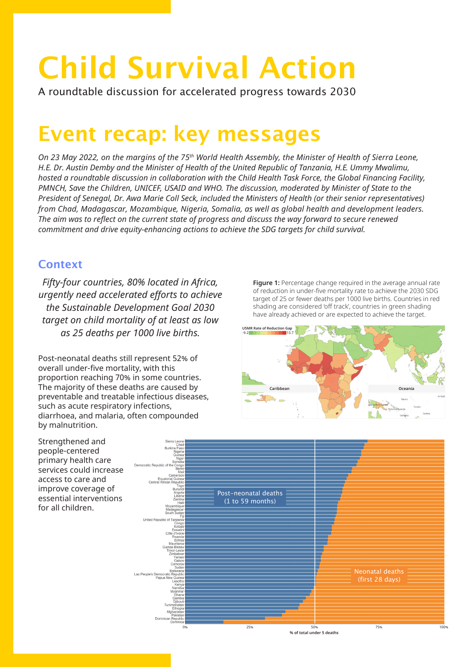# **Child Survival Action**

A roundtable discussion for accelerated progress towards 2030

## **Event recap: key messages**

*On 23 May 2022, on the margins of the 75th World Health Assembly, the Minister of Health of Sierra Leone, H.E. Dr. Austin Demby and the Minister of Health of the United Republic of Tanzania, H.E. Ummy Mwalimu, hosted a roundtable discussion in collaboration with the Child Health Task Force, the Global Financing Facility, PMNCH, Save the Children, UNICEF, USAID and WHO. The discussion, moderated by Minister of State to the President of Senegal, Dr. Awa Marie Coll Seck, included the Ministers of Health (or their senior representatives) from Chad, Madagascar, Mozambique, Nigeria, Somalia, as well as global health and development leaders. The aim was to reflect on the current state of progress and discuss the way forward to secure renewed commitment and drive equity-enhancing actions to achieve the SDG targets for child survival.* 

#### **Context**

*Fifty-four countries, 80% located in Africa, urgently need accelerated efforts to achieve the Sustainable Development Goal 2030 target on child mortality of at least as low as 25 deaths per 1000 live births.*

Post-neonatal deaths still represent 52% of overall under-five mortality, with this proportion reaching 70% in some countries. The majority of these deaths are caused by preventable and treatable infectious diseases, such as acute respiratory infections, diarrhoea, and malaria, often compounded by malnutrition.

**Figure 1:** Percentage change required in the average annual rate of reduction in under-five mortality rate to achieve the 2030 SDG target of 25 or fewer deaths per 1000 live births. Countries in red shading are considered 'off track', countries in green shading have already achieved or are expected to achieve the target.



Strengthened and people-centered primary health care services could increase access to care and improve coverage of essential interventions for all children.